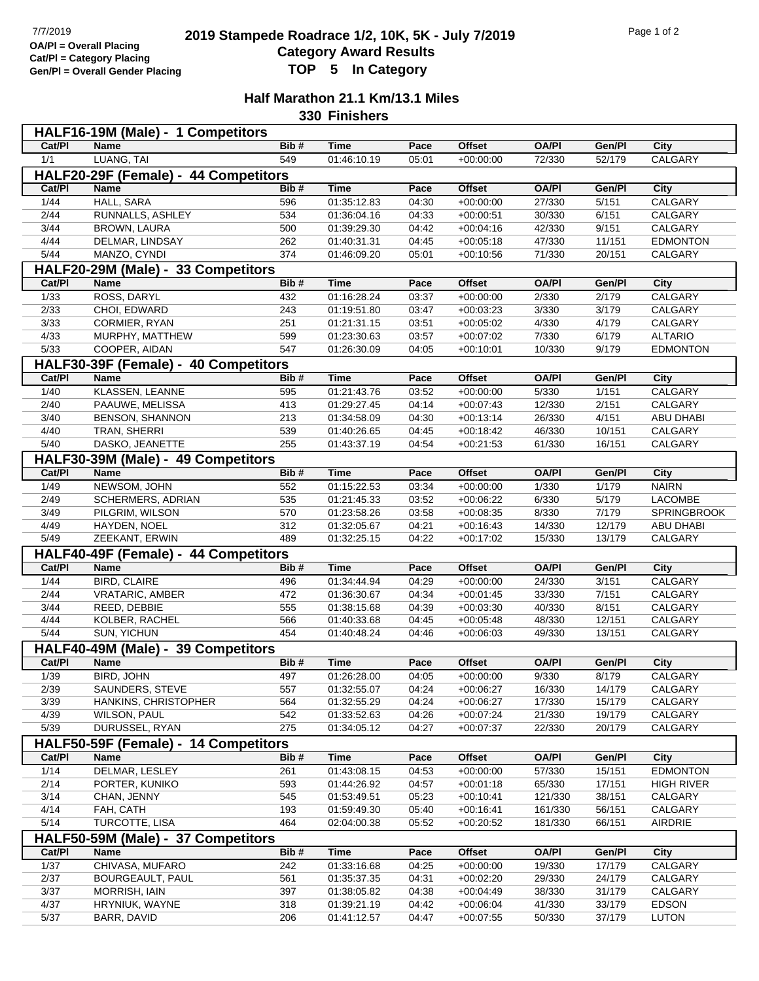## **2019 2019 Stampede Roadrace 1/2, 10K, 5K - July 7/2019** Page 1 of 2<br> **Cotogory Award Bosylts** Pagulta **Category Award Results Gen/Pl = Overall Gender Placing TOP 5 In Category**

## **Half Marathon 21.1 Km/13.1 Miles 330 Finishers**

|                                      | HALF16-19M (Male) - 1 Competitors    |            |                            |                |                            |                  |                  |                             |  |  |  |  |
|--------------------------------------|--------------------------------------|------------|----------------------------|----------------|----------------------------|------------------|------------------|-----------------------------|--|--|--|--|
| Cat/PI                               | <b>Name</b>                          | Bib#       | <b>Time</b>                | Pace           | <b>Offset</b>              | <b>OA/PI</b>     | Gen/Pl           | City                        |  |  |  |  |
| 1/1                                  | LUANG, TAI                           | 549        | 01:46:10.19                | 05:01          | $+00:00:00$                | 72/330           | 52/179           | CALGARY                     |  |  |  |  |
| HALF20-29F (Female) - 44 Competitors |                                      |            |                            |                |                            |                  |                  |                             |  |  |  |  |
| Cat/Pl                               | <b>Name</b>                          | Bib#       | <b>Time</b>                | Pace           | <b>Offset</b>              | <b>OA/PI</b>     | Gen/Pl           | City                        |  |  |  |  |
| 1/44                                 | <b>HALL, SARA</b>                    | 596        | 01:35:12.83                | 04:30          | $+00:00:00$                | 27/330           | 5/151            | <b>CALGARY</b>              |  |  |  |  |
| 2/44                                 | RUNNALLS, ASHLEY                     | 534        | 01:36:04.16                | 04:33          | $+00:00:51$                | 30/330           | 6/151            | CALGARY                     |  |  |  |  |
| 3/44                                 | <b>BROWN, LAURA</b>                  | 500        | 01:39:29.30                | 04:42          | $+00:04:16$                | 42/330           | 9/151            | CALGARY                     |  |  |  |  |
| 4/44                                 | DELMAR, LINDSAY                      | 262        | 01:40:31.31                | 04:45          | $+00:05:18$                | 47/330           | 11/151           | <b>EDMONTON</b>             |  |  |  |  |
| $\overline{5/44}$                    | MANZO, CYNDI                         | 374        | 01:46:09.20                | 05:01          | $+00:10:56$                | 71/330           | 20/151           | CALGARY                     |  |  |  |  |
| HALF20-29M (Male) - 33 Competitors   |                                      |            |                            |                |                            |                  |                  |                             |  |  |  |  |
| Cat/Pl                               | Name                                 | Bib#       | <b>Time</b>                | Pace           | <b>Offset</b>              | <b>OA/PI</b>     | Gen/Pl           | City                        |  |  |  |  |
| 1/33                                 | ROSS, DARYL                          | 432        | 01:16:28.24                | 03:37          | $+00:00:00$                | 2/330            | 2/179            | CALGARY                     |  |  |  |  |
| 2/33                                 | CHOI, EDWARD                         | 243        | 01:19:51.80                | 03:47          | $+00:03:23$                | 3/330            | 3/179            | CALGARY                     |  |  |  |  |
| 3/33                                 | CORMIER, RYAN                        | 251        | 01:21:31.15                | 03:51          | $+00:05:02$                | 4/330            | 4/179            | CALGARY                     |  |  |  |  |
| 4/33                                 | MURPHY, MATTHEW                      | 599        | 01:23:30.63                | 03:57          | $+00:07:02$                | 7/330            | 6/179            | <b>ALTARIO</b>              |  |  |  |  |
| 5/33                                 | COOPER, AIDAN                        | 547        | 01:26:30.09                | 04:05          | $+00:10:01$                | 10/330           | 9/179            | <b>EDMONTON</b>             |  |  |  |  |
|                                      | HALF30-39F (Female) - 40 Competitors |            |                            |                |                            |                  |                  |                             |  |  |  |  |
| Cat/PI                               | <b>Name</b>                          | Bib#       | <b>Time</b>                | Pace           | <b>Offset</b>              | <b>OA/PI</b>     | Gen/Pl           | City                        |  |  |  |  |
| 1/40                                 | <b>KLASSEN, LEANNE</b>               | 595        | 01:21:43.76                | 03:52          | $+00:00:00$                | 5/330            | 1/151            | CALGARY                     |  |  |  |  |
| 2/40                                 | PAAUWE, MELISSA                      | 413        | 01:29:27.45                | 04:14          | $+00:07:43$                | 12/330           | 2/151            | CALGARY                     |  |  |  |  |
| 3/40                                 | BENSON, SHANNON                      | 213        | 01:34:58.09                | 04:30          | $+00:13:14$                | 26/330           | 4/151            | ABU DHABI                   |  |  |  |  |
| 4/40                                 | TRAN, SHERRI                         | 539        | 01:40:26.65                | 04:45          | $+00:18:42$                | 46/330           | 10/151           | CALGARY                     |  |  |  |  |
| 5/40                                 | DASKO, JEANETTE                      | 255        | 01:43:37.19                | 04:54          | $+00:21:53$                | 61/330           | 16/151           | CALGARY                     |  |  |  |  |
|                                      | HALF30-39M (Male) - 49 Competitors   |            |                            |                |                            |                  |                  |                             |  |  |  |  |
| Cat/PI                               | Name                                 | Bib#       | <b>Time</b>                | Pace           | <b>Offset</b>              | <b>OA/PI</b>     | Gen/Pl           | City                        |  |  |  |  |
| 1/49                                 | NEWSOM, JOHN                         | 552        | 01:15:22.53                | 03:34          | $+00:00:00$                | 1/330            | 1/179            | <b>NAIRN</b>                |  |  |  |  |
| 2/49                                 | SCHERMERS, ADRIAN                    | 535        | 01:21:45.33                | 03:52          | $+00:06:22$                | 6/330            | 5/179            | LACOMBE                     |  |  |  |  |
| 3/49                                 | PILGRIM, WILSON                      | 570        | 01:23:58.26                | 03:58          | $+00:08:35$                | 8/330            | 7/179            | SPRINGBROOK                 |  |  |  |  |
| 4/49<br>5/49                         | HAYDEN, NOEL<br>ZEEKANT, ERWIN       | 312<br>489 | 01:32:05.67<br>01:32:25.15 | 04:21<br>04:22 | $+00:16:43$<br>$+00:17:02$ | 14/330<br>15/330 | 12/179<br>13/179 | <b>ABU DHABI</b><br>CALGARY |  |  |  |  |
|                                      | HALF40-49F (Female) - 44 Competitors |            |                            |                |                            |                  |                  |                             |  |  |  |  |
| Cat/PI                               | Name                                 | Bib#       | <b>Time</b>                | Pace           | <b>Offset</b>              | <b>OA/PI</b>     | Gen/Pl           | City                        |  |  |  |  |
| 1/44                                 | <b>BIRD, CLAIRE</b>                  | 496        | 01:34:44.94                | 04:29          | $+00:00:00$                | 24/330           | 3/151            | CALGARY                     |  |  |  |  |
| 2/44                                 | <b>VRATARIC, AMBER</b>               | 472        | 01:36:30.67                | 04:34          | $+00:01:45$                | 33/330           | 7/151            | CALGARY                     |  |  |  |  |
| 3/44                                 | REED, DEBBIE                         | 555        | 01:38:15.68                | 04:39          | $+00:03:30$                | 40/330           | 8/151            | CALGARY                     |  |  |  |  |
| 4/44                                 | KOLBER, RACHEL                       | 566        | 01:40:33.68                | 04:45          | $+00:05:48$                | 48/330           | 12/151           | CALGARY                     |  |  |  |  |
| $5/44$                               | <b>SUN, YICHUN</b>                   | 454        | 01:40:48.24                | 04:46          | $+00:06:03$                | 49/330           | 13/151           | CALGARY                     |  |  |  |  |
|                                      | HALF40-49M (Male) - 39 Competitors   |            |                            |                |                            |                  |                  |                             |  |  |  |  |
| Cat/Pl                               | Name                                 | Bib#       | <b>Time</b>                | Pace           | <b>Offset</b>              | <b>OA/PI</b>     | Gen/Pl           | City                        |  |  |  |  |
| $\frac{1}{39}$                       | <b>BIRD, JOHN</b>                    | 497        | 01:26:28.00                | 04:05          | $+00:00:00$                | 9/330            | 8/179            | CALGARY                     |  |  |  |  |
| 2/39                                 | SAUNDERS, STEVE                      | 557        | 01:32:55.07                | 04:24          | $+00:06:27$                | 16/330           | 14/179           | CALGARY                     |  |  |  |  |
| 3/39                                 | HANKINS, CHRISTOPHER                 | 564        | 01:32:55.29                | 04:24          | $+00:06:27$                | 17/330           | 15/179           | CALGARY                     |  |  |  |  |
| 4/39                                 | <b>WILSON, PAUL</b>                  | 542        | 01:33:52.63                | 04:26          | $+00:07:24$                | 21/330           | 19/179           | CALGARY                     |  |  |  |  |
| 5/39                                 | DURUSSEL, RYAN                       | 275        | 01:34:05.12                | 04:27          | $+00:07:37$                | 22/330           | 20/179           | CALGARY                     |  |  |  |  |
| HALF50-59F (Female) - 14 Competitors |                                      |            |                            |                |                            |                  |                  |                             |  |  |  |  |
| Cat/PI                               | Name                                 | Bib#       | <b>Time</b>                | Pace           | Offset                     | <b>OA/PI</b>     | Gen/Pl           | City                        |  |  |  |  |
| 1/14                                 | DELMAR, LESLEY                       | 261        | 01:43:08.15                | 04:53          | $+00:00:00$                | 57/330           | 15/151           | <b>EDMONTON</b>             |  |  |  |  |
| 2/14                                 | PORTER, KUNIKO                       | 593        | 01:44:26.92                | 04:57          | $+00:01:18$                | 65/330           | 17/151           | <b>HIGH RIVER</b>           |  |  |  |  |
| 3/14                                 | CHAN, JENNY                          | 545        | 01:53:49.51                | 05:23          | $+00:10:41$                | 121/330          | 38/151           | CALGARY                     |  |  |  |  |
| 4/14                                 | FAH, CATH                            | 193        | 01:59:49.30                | 05:40          | $+00:16:41$                | 161/330          | 56/151           | CALGARY                     |  |  |  |  |
| 5/14                                 | TURCOTTE, LISA                       | 464        | 02:04:00.38                | 05:52          | $+00:20:52$                | 181/330          | 66/151           | AIRDRIE                     |  |  |  |  |
|                                      | HALF50-59M (Male) - 37 Competitors   |            |                            |                |                            |                  |                  |                             |  |  |  |  |
| Cat/PI                               | Name                                 | Bib#       | <b>Time</b>                | Pace           | <b>Offset</b>              | <b>OA/PI</b>     | Gen/Pl           | City                        |  |  |  |  |
| 1/37                                 | CHIVASA, MUFARO                      | 242        | 01:33:16.68                | 04:25          | $+00:00:00$                | 19/330           | 17/179           | CALGARY                     |  |  |  |  |
| 2/37                                 | BOURGEAULT, PAUL                     | 561        | 01:35:37.35                | 04:31          | $+00:02:20$                | 29/330           | 24/179           | CALGARY                     |  |  |  |  |
| 3/37                                 | MORRISH, IAIN                        | 397        | 01:38:05.82                | 04:38          | $+00:04:49$                | 38/330           | 31/179           | CALGARY                     |  |  |  |  |
| 4/37                                 | HRYNIUK, WAYNE                       | 318        | 01:39:21.19                | 04:42          | $+00:06:04$                | 41/330           | 33/179           | <b>EDSON</b>                |  |  |  |  |
| $5/37$                               | BARR, DAVID                          | 206        | 01:41:12.57                | 04:47          | $+00:07:55$                | 50/330           | 37/179           | <b>LUTON</b>                |  |  |  |  |